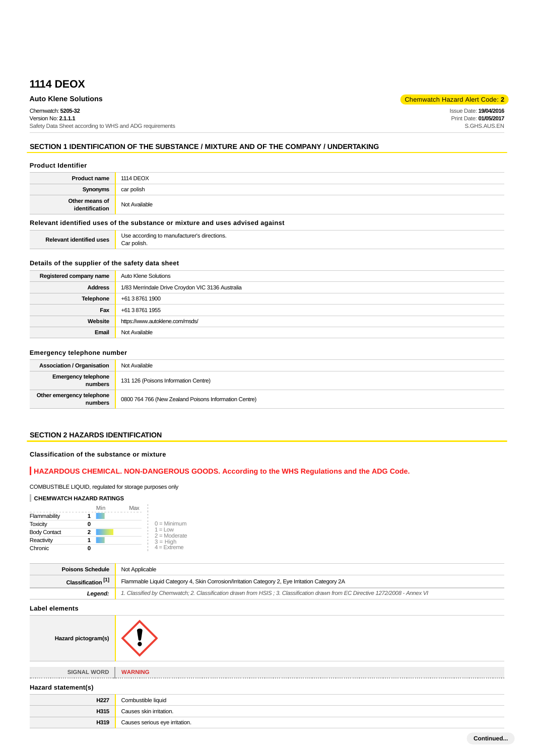# **1114 DEOX**

## **Auto Klene Solutions** Chemwatch Hazard Alert Code: **2**

Chemwatch: **5205-32** Version No: **2.1.1.1** Safety Data Sheet according to WHS and ADG requirements Issue Date: **19/04/2016** Print Date: **01/05/2017** S.GHS.AUS.EN

## **SECTION 1 IDENTIFICATION OF THE SUBSTANCE / MIXTURE AND OF THE COMPANY / UNDERTAKING**

#### **Product Identifier**

| <b>Product name</b>              | <b>1114 DEOX</b> |
|----------------------------------|------------------|
| Synonyms                         | car polish       |
| Other means of<br>identification | Not Available    |

### **Relevant identified uses of the substance or mixture and uses advised against**

#### **Details of the supplier of the safety data sheet**

| Registered company name | Auto Klene Solutions                             |
|-------------------------|--------------------------------------------------|
| <b>Address</b>          | 1/83 Merrindale Drive Croydon VIC 3136 Australia |
| Telephone               | +61 3 8761 1900                                  |
| Fax                     | +61 3 8761 1955                                  |
| Website                 | https://www.autoklene.com/msds/                  |
| Email                   | Not Available                                    |

#### **Emergency telephone number**

| <b>Association / Organisation</b>    | Not Available                                         |
|--------------------------------------|-------------------------------------------------------|
| Emergency telephone<br>numbers       | 131 126 (Poisons Information Centre)                  |
| Other emergency telephone<br>numbers | 0800 764 766 (New Zealand Poisons Information Centre) |

#### **SECTION 2 HAZARDS IDENTIFICATION**

## **Classification of the substance or mixture**

## **HAZARDOUS CHEMICAL. NON-DANGEROUS GOODS. According to the WHS Regulations and the ADG Code.**

## COMBUSTIBLE LIQUID, regulated for storage purposes only

#### **CHEMWATCH HAZARD RATINGS**

|                     | Min | Max |                                    |
|---------------------|-----|-----|------------------------------------|
| Flammability        |     |     |                                    |
| <b>Toxicity</b>     |     |     | $0 =$ Minimum                      |
| <b>Body Contact</b> | 2   |     | $1 = 1$ $\Omega$<br>$2 =$ Moderate |
| Reactivity          |     |     | $3 = High$                         |
| Chronic             |     |     | $4$ = Extreme                      |

| <b>Poisons Schedule</b>       | Not Applicable                                                                                                                |  |
|-------------------------------|-------------------------------------------------------------------------------------------------------------------------------|--|
| Classification <sup>[1]</sup> | Flammable Liquid Category 4, Skin Corrosion/Irritation Category 2, Eye Irritation Category 2A                                 |  |
| Legend:                       | 1. Classified by Chemwatch; 2. Classification drawn from HSIS; 3. Classification drawn from EC Directive 1272/2008 - Annex VI |  |

**Label elements**



**SIGNAL WORD WARNING**

**Hazard pictogram(s)**

**Hazard statement(s)**

| <b>H227</b> | Combustible liauid             |
|-------------|--------------------------------|
| H315        | Causes skin irritation.        |
| H319        | Causes serious eye irritation. |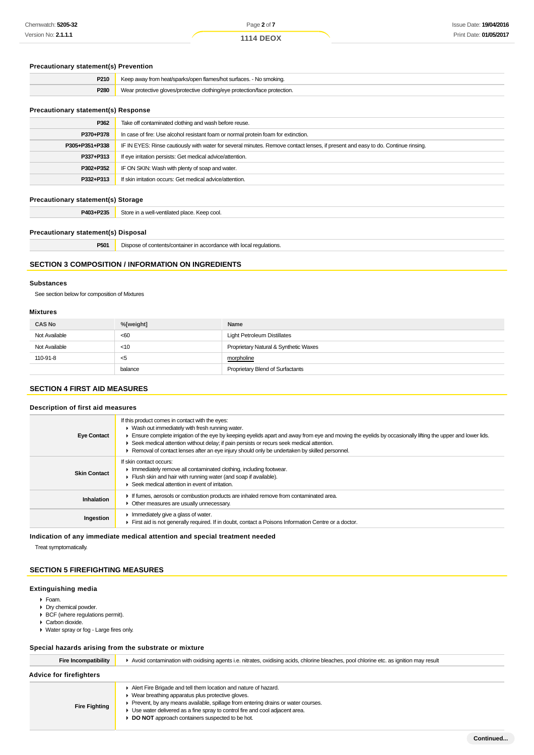## **Precautionary statement(s) Prevention**

| P210 | Keep away from heat/sparks/open flames/hot surfaces. - No smoking.         |
|------|----------------------------------------------------------------------------|
| P280 | Wear protective gloves/protective clothing/eye protection/face protection. |
|      |                                                                            |

#### **Precautionary statement(s) Response**

| P362           | Take off contaminated clothing and wash before reuse.                                                                            |
|----------------|----------------------------------------------------------------------------------------------------------------------------------|
| P370+P378      | In case of fire: Use alcohol resistant foam or normal protein foam for extinction.                                               |
| P305+P351+P338 | IF IN EYES: Rinse cautiously with water for several minutes. Remove contact lenses, if present and easy to do. Continue rinsing. |
| P337+P313      | If eye irritation persists: Get medical advice/attention.                                                                        |
| P302+P352      | IF ON SKIN: Wash with plenty of soap and water.                                                                                  |
| P332+P313      | If skin irritation occurs: Get medical advice/attention.                                                                         |
|                |                                                                                                                                  |

#### **Precautionary statement(s) Storage**

P403+P235 Store in a well-ventilated place. Keep cool.

#### **Precautionary statement(s) Disposal**

**P501** Dispose of contents/container in accordance with local regulations.

### **SECTION 3 COMPOSITION / INFORMATION ON INGREDIENTS**

#### **Substances**

See section below for composition of Mixtures

#### **Mixtures**

| <b>CAS No</b> | %[weight] | Name                                  |
|---------------|-----------|---------------------------------------|
| Not Available | <60       | <b>Light Petroleum Distillates</b>    |
| Not Available | $<$ 10    | Proprietary Natural & Synthetic Waxes |
| 110-91-8      | - <5      | morpholine                            |
|               | balance   | Proprietary Blend of Surfactants      |

## **SECTION 4 FIRST AID MEASURES**

## **Description of first aid measures**

| If this product comes in contact with the eyes:<br>$\blacktriangleright$ Wash out immediately with fresh running water.<br>Ensure complete irrigation of the eye by keeping eyelids apart and away from eye and moving the eyelids by occasionally lifting the upper and lower lids.<br>▶ Seek medical attention without delay; if pain persists or recurs seek medical attention.<br>► Removal of contact lenses after an eye injury should only be undertaken by skilled personnel. |
|---------------------------------------------------------------------------------------------------------------------------------------------------------------------------------------------------------------------------------------------------------------------------------------------------------------------------------------------------------------------------------------------------------------------------------------------------------------------------------------|
| If skin contact occurs:<br>Immediately remove all contaminated clothing, including footwear.<br>Flush skin and hair with running water (and soap if available).<br>$\blacktriangleright$ Seek medical attention in event of irritation.                                                                                                                                                                                                                                               |
| If fumes, aerosols or combustion products are inhaled remove from contaminated area.<br>• Other measures are usually unnecessary.                                                                                                                                                                                                                                                                                                                                                     |
| Immediately give a glass of water.<br>First aid is not generally required. If in doubt, contact a Poisons Information Centre or a doctor.                                                                                                                                                                                                                                                                                                                                             |
|                                                                                                                                                                                                                                                                                                                                                                                                                                                                                       |

**Indication of any immediate medical attention and special treatment needed**

Treat symptomatically.

## **SECTION 5 FIREFIGHTING MEASURES**

#### **Extinguishing media**

- Foam.
- Dry chemical powder.
- BCF (where regulations permit). ▶ Carbon dioxide.
- 
- Water spray or fog Large fires only.

#### **Special hazards arising from the substrate or mixture**

| Fire Incompatibility           | Avoid contamination with oxidising agents i.e. nitrates, oxidising acids, chlorine bleaches, pool chlorine etc. as ignition may result                                                                                                                                                                                                        |  |
|--------------------------------|-----------------------------------------------------------------------------------------------------------------------------------------------------------------------------------------------------------------------------------------------------------------------------------------------------------------------------------------------|--|
| <b>Advice for firefighters</b> |                                                                                                                                                                                                                                                                                                                                               |  |
| <b>Fire Fighting</b>           | Alert Fire Brigade and tell them location and nature of hazard.<br>• Wear breathing apparatus plus protective gloves.<br>Prevent, by any means available, spillage from entering drains or water courses.<br>• Use water delivered as a fine spray to control fire and cool adjacent area.<br>DO NOT approach containers suspected to be hot. |  |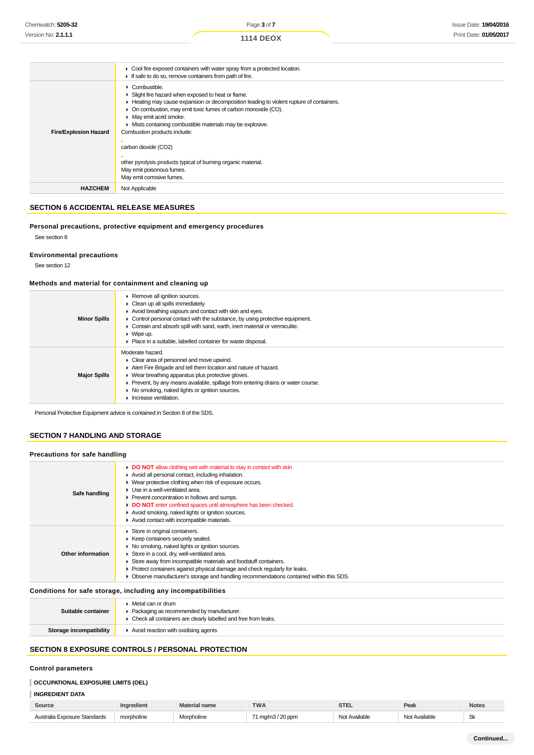|                              | • Cool fire exposed containers with water spray from a protected location.<br>If safe to do so, remove containers from path of fire.                                                                                                                                                                                                                                                                                                                                                                                       |
|------------------------------|----------------------------------------------------------------------------------------------------------------------------------------------------------------------------------------------------------------------------------------------------------------------------------------------------------------------------------------------------------------------------------------------------------------------------------------------------------------------------------------------------------------------------|
| <b>Fire/Explosion Hazard</b> | $\triangleright$ Combustible.<br>Slight fire hazard when exposed to heat or flame.<br>Heating may cause expansion or decomposition leading to violent rupture of containers.<br>• On combustion, may emit toxic fumes of carbon monoxide (CO).<br>• May emit acrid smoke.<br>• Mists containing combustible materials may be explosive.<br>Combustion products include:<br>carbon dioxide (CO2)<br>other pyrolysis products typical of burning organic material.<br>May emit poisonous fumes.<br>May emit corrosive fumes. |
| <b>HAZCHEM</b>               | Not Applicable                                                                                                                                                                                                                                                                                                                                                                                                                                                                                                             |

## **SECTION 6 ACCIDENTAL RELEASE MEASURES**

#### **Personal precautions, protective equipment and emergency procedures**

See section 8

## **Environmental precautions**

See section 12

## **Methods and material for containment and cleaning up**

| <b>Minor Spills</b> | Remove all ignition sources.<br>$\triangleright$ Clean up all spills immediately.<br>Avoid breathing vapours and contact with skin and eyes.<br>• Control personal contact with the substance, by using protective equipment.<br>• Contain and absorb spill with sand, earth, inert material or vermiculite.<br>$\triangleright$ Wipe up.<br>▶ Place in a suitable, labelled container for waste disposal. |
|---------------------|------------------------------------------------------------------------------------------------------------------------------------------------------------------------------------------------------------------------------------------------------------------------------------------------------------------------------------------------------------------------------------------------------------|
| <b>Major Spills</b> | Moderate hazard.<br>• Clear area of personnel and move upwind.<br>Alert Fire Brigade and tell them location and nature of hazard.<br>▶ Wear breathing apparatus plus protective gloves.<br>• Prevent, by any means available, spillage from entering drains or water course.<br>• No smoking, naked lights or ignition sources.<br>$\blacktriangleright$ Increase ventilation.                             |

Personal Protective Equipment advice is contained in Section 8 of the SDS.

## **SECTION 7 HANDLING AND STORAGE**

| Precautions for safe handling |  |  |  |
|-------------------------------|--|--|--|
|                               |  |  |  |

| Safe handling     | DO NOT allow clothing wet with material to stay in contact with skin<br>Avoid all personal contact, including inhalation.<br>▶ Wear protective clothing when risk of exposure occurs.<br>$\blacktriangleright$ Use in a well-ventilated area.<br>▶ Prevent concentration in hollows and sumps.<br>DO NOT enter confined spaces until atmosphere has been checked.<br>Avoid smoking, naked lights or ignition sources.<br>Avoid contact with incompatible materials. |
|-------------------|---------------------------------------------------------------------------------------------------------------------------------------------------------------------------------------------------------------------------------------------------------------------------------------------------------------------------------------------------------------------------------------------------------------------------------------------------------------------|
| Other information | Store in original containers.<br>▶ Keep containers securely sealed.<br>• No smoking, naked lights or ignition sources.<br>Store in a cool, dry, well-ventilated area.<br>Store away from incompatible materials and foodstuff containers.<br>• Protect containers against physical damage and check regularly for leaks.<br>• Observe manufacturer's storage and handling recommendations contained within this SDS.                                                |
|                   |                                                                                                                                                                                                                                                                                                                                                                                                                                                                     |

## **Conditions for safe storage, including any incompatibilities**

| Suitable container      | $\blacktriangleright$ Metal can or drum<br>• Packaging as recommended by manufacturer.<br>• Check all containers are clearly labelled and free from leaks. |
|-------------------------|------------------------------------------------------------------------------------------------------------------------------------------------------------|
| Storage incompatibility | Avoid reaction with oxidising agents                                                                                                                       |

## **SECTION 8 EXPOSURE CONTROLS / PERSONAL PROTECTION**

### **Control parameters**

# **OCCUPATIONAL EXPOSURE LIMITS (OEL)**

## **INGREDIENT DATA**

| Source                       | Ingredient | Material name | <b>TWA</b>        | <b>CTE</b><br>ᇬᇆ | Peak          | <b>Notes</b> |
|------------------------------|------------|---------------|-------------------|------------------|---------------|--------------|
| Australia Exposure Standards | morpholine | Morpholine    | 71 mg/m3 / 20 ppm | Not Available    | Not Available | Sk           |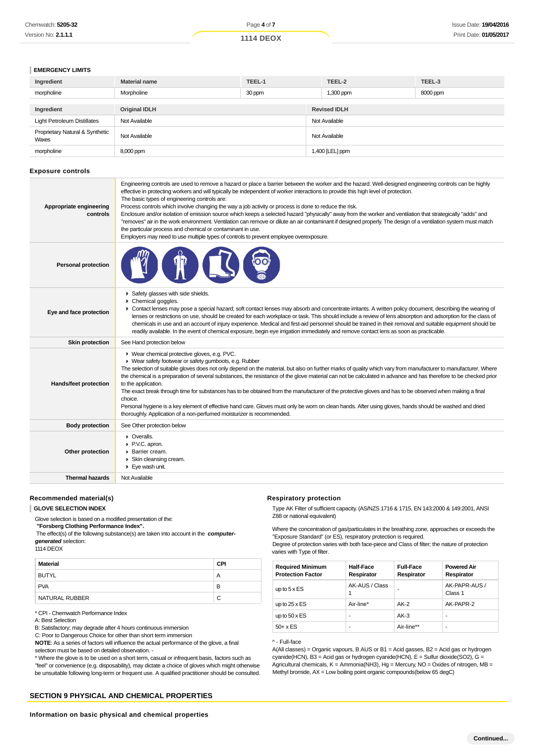| Chemwatch: 5205-32         | Page 4 of 7      | Issue Date: <b>19/04/2016</b> |
|----------------------------|------------------|-------------------------------|
| Version No: <b>2.1.1.1</b> | <b>1114 DEOX</b> | Print Date: 01/05/2017        |

#### **EMERGENCY LIMITS**

| Ingredient                               | <b>Material name</b> | TEEL-1 | TEEL-2              | TEEL-3   |  |
|------------------------------------------|----------------------|--------|---------------------|----------|--|
| morpholine                               | Morpholine           | 30 ppm | 1,300 ppm           | 8000 ppm |  |
|                                          |                      |        |                     |          |  |
| Ingredient                               | <b>Original IDLH</b> |        | <b>Revised IDLH</b> |          |  |
| <b>Light Petroleum Distillates</b>       | Not Available        |        | Not Available       |          |  |
| Proprietary Natural & Synthetic<br>Waxes | Not Available        |        | Not Available       |          |  |
| morpholine                               | 8,000 ppm            |        | 1,400 [LEL] ppm     |          |  |

#### **Exposure controls**

| Appropriate engineering<br>controls | Engineering controls are used to remove a hazard or place a barrier between the worker and the hazard. Well-designed engineering controls can be highly<br>effective in protecting workers and will typically be independent of worker interactions to provide this high level of protection.<br>The basic types of engineering controls are:<br>Process controls which involve changing the way a job activity or process is done to reduce the risk.<br>Enclosure and/or isolation of emission source which keeps a selected hazard "physically" away from the worker and ventilation that strategically "adds" and<br>"removes" air in the work environment. Ventilation can remove or dilute an air contaminant if designed properly. The design of a ventilation system must match<br>the particular process and chemical or contaminant in use.<br>Employers may need to use multiple types of controls to prevent employee overexposure. |
|-------------------------------------|-------------------------------------------------------------------------------------------------------------------------------------------------------------------------------------------------------------------------------------------------------------------------------------------------------------------------------------------------------------------------------------------------------------------------------------------------------------------------------------------------------------------------------------------------------------------------------------------------------------------------------------------------------------------------------------------------------------------------------------------------------------------------------------------------------------------------------------------------------------------------------------------------------------------------------------------------|
| <b>Personal protection</b>          |                                                                                                                                                                                                                                                                                                                                                                                                                                                                                                                                                                                                                                                                                                                                                                                                                                                                                                                                                 |
| Eye and face protection             | Safety glasses with side shields.<br>Chemical goggles.<br>• Contact lenses may pose a special hazard; soft contact lenses may absorb and concentrate irritants. A written policy document, describing the wearing of<br>lenses or restrictions on use, should be created for each workplace or task. This should include a review of lens absorption and adsorption for the class of<br>chemicals in use and an account of injury experience. Medical and first-aid personnel should be trained in their removal and suitable equipment should be<br>readily available. In the event of chemical exposure, begin eye irrigation immediately and remove contact lens as soon as practicable.                                                                                                                                                                                                                                                     |
| Skin protection                     | See Hand protection below                                                                                                                                                                                                                                                                                                                                                                                                                                                                                                                                                                                                                                                                                                                                                                                                                                                                                                                       |
| Hands/feet protection               | ▶ Wear chemical protective gloves, e.g. PVC.<br>▶ Wear safety footwear or safety gumboots, e.g. Rubber<br>The selection of suitable gloves does not only depend on the material, but also on further marks of quality which vary from manufacturer to manufacturer. Where<br>the chemical is a preparation of several substances, the resistance of the glove material can not be calculated in advance and has therefore to be checked prior<br>to the application.<br>The exact break through time for substances has to be obtained from the manufacturer of the protective gloves and has to be observed when making a final<br>choice.<br>Personal hygiene is a key element of effective hand care. Gloves must only be worn on clean hands. After using gloves, hands should be washed and dried<br>thoroughly. Application of a non-perfumed moisturizer is recommended.                                                                 |
| <b>Body protection</b>              | See Other protection below                                                                                                                                                                                                                                                                                                                                                                                                                                                                                                                                                                                                                                                                                                                                                                                                                                                                                                                      |
| Other protection                    | • Overalls.<br>P.V.C. apron.<br>Barrier cream.<br>Skin cleansing cream.<br>$\blacktriangleright$ Eye wash unit.                                                                                                                                                                                                                                                                                                                                                                                                                                                                                                                                                                                                                                                                                                                                                                                                                                 |
| <b>Thermal hazards</b>              | Not Available                                                                                                                                                                                                                                                                                                                                                                                                                                                                                                                                                                                                                                                                                                                                                                                                                                                                                                                                   |

#### **Recommended material(s)**

#### **GLOVE SELECTION INDEX**

Glove selection is based on a modified presentation of the:

 **"Forsberg Clothing Performance Index".**

 The effect(s) of the following substance(s) are taken into account in the **computergenerated** selection:

#### 1114 DEOX

| Material              | <b>CPI</b> |
|-----------------------|------------|
| <b>BUTYL</b>          | A          |
| <b>PVA</b>            | в          |
| <b>NATURAL RUBBER</b> | С          |

\* CPI - Chemwatch Performance Index

A: Best Selection

B: Satisfactory; may degrade after 4 hours continuous immersion

C: Poor to Dangerous Choice for other than short term immersion

**NOTE**: As a series of factors will influence the actual performance of the glove, a final selection must be based on detailed observation. -

\* Where the glove is to be used on a short term, casual or infrequent basis, factors such as "feel" or convenience (e.g. disposability), may dictate a choice of gloves which might otherwise be unsuitable following long-term or frequent use. A qualified practitioner should be consulted.

## **SECTION 9 PHYSICAL AND CHEMICAL PROPERTIES**

#### **Respiratory protection**

Type AK Filter of sufficient capacity. (AS/NZS 1716 & 1715, EN 143:2000 & 149:2001, ANSI Z88 or national equivalent)

Where the concentration of gas/particulates in the breathing zone, approaches or exceeds the "Exposure Standard" (or ES), respiratory protection is required.

Degree of protection varies with both face-piece and Class of filter; the nature of protection varies with Type of filter.

| <b>Required Minimum</b><br><b>Protection Factor</b> | <b>Half-Face</b><br>Respirator | <b>Full-Face</b><br>Respirator | <b>Powered Air</b><br>Respirator |
|-----------------------------------------------------|--------------------------------|--------------------------------|----------------------------------|
| up to $5 \times ES$                                 | AK-AUS / Class                 |                                | AK-PAPR-AUS /<br>Class 1         |
| up to $25 \times ES$                                | Air-line*                      | $AK-2$                         | AK-PAPR-2                        |
| up to $50 \times ES$                                | -                              | $AK-3$                         |                                  |
| $50+ x ES$                                          | -                              | Air-line**                     |                                  |

## ^ - Full-face

A(All classes) = Organic vapours, B AUS or B1 = Acid gasses, B2 = Acid gas or hydrogen cyanide(HCN), B3 = Acid gas or hydrogen cyanide(HCN), E = Sulfur dioxide(SO2), G = Agricultural chemicals,  $K =$  Ammonia(NH3), Hg = Mercury, NO = Oxides of nitrogen, MB = Methyl bromide,  $AX = Low$  boiling point organic compounds(below 65 degC)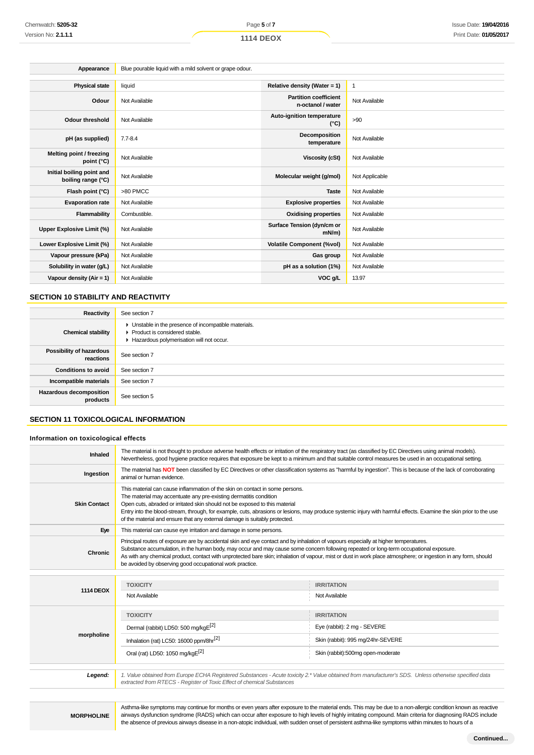| Appearance                                      | Blue pourable liquid with a mild solvent or grape odour. |                                                   |                |  |
|-------------------------------------------------|----------------------------------------------------------|---------------------------------------------------|----------------|--|
|                                                 |                                                          |                                                   |                |  |
| <b>Physical state</b>                           | liquid                                                   | Relative density (Water = $1$ )                   | 1              |  |
| Odour                                           | Not Available                                            | <b>Partition coefficient</b><br>n-octanol / water | Not Available  |  |
| <b>Odour threshold</b>                          | Not Available                                            | Auto-ignition temperature<br>$(^{\circ}C)$        | >90            |  |
| pH (as supplied)                                | $7.7 - 8.4$                                              | Decomposition<br>temperature                      | Not Available  |  |
| Melting point / freezing<br>point (°C)          | Not Available                                            | <b>Viscosity (cSt)</b>                            | Not Available  |  |
| Initial boiling point and<br>boiling range (°C) | Not Available                                            | Molecular weight (g/mol)                          | Not Applicable |  |
| Flash point (°C)                                | >80 PMCC                                                 | <b>Taste</b>                                      | Not Available  |  |
| <b>Evaporation rate</b>                         | Not Available                                            | <b>Explosive properties</b>                       | Not Available  |  |
| Flammability                                    | Combustible.                                             | <b>Oxidising properties</b>                       | Not Available  |  |
| Upper Explosive Limit (%)                       | Not Available                                            | Surface Tension (dyn/cm or<br>$mN/m$ )            | Not Available  |  |
| Lower Explosive Limit (%)                       | Not Available                                            | <b>Volatile Component (%vol)</b>                  | Not Available  |  |
| Vapour pressure (kPa)                           | Not Available                                            | Gas group                                         | Not Available  |  |
| Solubility in water (g/L)                       | Not Available                                            | pH as a solution (1%)                             | Not Available  |  |
| Vapour density (Air = 1)                        | Not Available                                            | VOC g/L                                           | 13.97          |  |

#### **SECTION 10 STABILITY AND REACTIVITY**

| Reactivity                                 | See section 7                                                                                                                        |
|--------------------------------------------|--------------------------------------------------------------------------------------------------------------------------------------|
| <b>Chemical stability</b>                  | • Unstable in the presence of incompatible materials.<br>▶ Product is considered stable.<br>Hazardous polymerisation will not occur. |
| Possibility of hazardous<br>reactions      | See section 7                                                                                                                        |
| <b>Conditions to avoid</b>                 | See section 7                                                                                                                        |
| Incompatible materials                     | See section 7                                                                                                                        |
| <b>Hazardous decomposition</b><br>products | See section 5                                                                                                                        |

## **SECTION 11 TOXICOLOGICAL INFORMATION**

## **Information on toxicological effects**

| Inhaled             | The material is not thought to produce adverse health effects or irritation of the respiratory tract (as classified by EC Directives using animal models).<br>Nevertheless, good hygiene practice requires that exposure be kept to a minimum and that suitable control measures be used in an occupational setting.                                                                                                                                                                                         |                                                                                                                                                       |  |
|---------------------|--------------------------------------------------------------------------------------------------------------------------------------------------------------------------------------------------------------------------------------------------------------------------------------------------------------------------------------------------------------------------------------------------------------------------------------------------------------------------------------------------------------|-------------------------------------------------------------------------------------------------------------------------------------------------------|--|
| Ingestion           | The material has NOT been classified by EC Directives or other classification systems as "harmful by ingestion". This is because of the lack of corroborating<br>animal or human evidence.                                                                                                                                                                                                                                                                                                                   |                                                                                                                                                       |  |
| <b>Skin Contact</b> | This material can cause inflammation of the skin on contact in some persons.<br>The material may accentuate any pre-existing dermatitis condition<br>Open cuts, abraded or irritated skin should not be exposed to this material<br>Entry into the blood-stream, through, for example, cuts, abrasions or lesions, may produce systemic injury with harmful effects. Examine the skin prior to the use<br>of the material and ensure that any external damage is suitably protected.                         |                                                                                                                                                       |  |
| Eye                 | This material can cause eye irritation and damage in some persons.                                                                                                                                                                                                                                                                                                                                                                                                                                           |                                                                                                                                                       |  |
| Chronic             | Principal routes of exposure are by accidental skin and eye contact and by inhalation of vapours especially at higher temperatures.<br>Substance accumulation, in the human body, may occur and may cause some concern following repeated or long-term occupational exposure.<br>As with any chemical product, contact with unprotected bare skin; inhalation of vapour, mist or dust in work place atmosphere; or ingestion in any form, should<br>be avoided by observing good occupational work practice. |                                                                                                                                                       |  |
|                     |                                                                                                                                                                                                                                                                                                                                                                                                                                                                                                              |                                                                                                                                                       |  |
| <b>1114 DEOX</b>    | <b>TOXICITY</b>                                                                                                                                                                                                                                                                                                                                                                                                                                                                                              | <b>IRRITATION</b>                                                                                                                                     |  |
|                     | Not Available                                                                                                                                                                                                                                                                                                                                                                                                                                                                                                | Not Available                                                                                                                                         |  |
|                     | <b>TOXICITY</b>                                                                                                                                                                                                                                                                                                                                                                                                                                                                                              | <b>IRRITATION</b>                                                                                                                                     |  |
|                     | Dermal (rabbit) LD50: 500 mg/kgE <sup>[2]</sup>                                                                                                                                                                                                                                                                                                                                                                                                                                                              | Eye (rabbit): 2 mg - SEVERE                                                                                                                           |  |
| morpholine          | Inhalation (rat) LC50: 16000 ppm/8hr <sup>[2]</sup>                                                                                                                                                                                                                                                                                                                                                                                                                                                          | Skin (rabbit): 995 mg/24hr-SEVERE                                                                                                                     |  |
|                     | Oral (rat) LD50: 1050 mg/kgE <sup>[2]</sup>                                                                                                                                                                                                                                                                                                                                                                                                                                                                  | Skin (rabbit):500mg open-moderate                                                                                                                     |  |
| Legend:             | extracted from RTECS - Register of Toxic Effect of chemical Substances                                                                                                                                                                                                                                                                                                                                                                                                                                       | 1. Value obtained from Europe ECHA Registered Substances - Acute toxicity 2.* Value obtained from manufacturer's SDS. Unless otherwise specified data |  |

**MORPHOLINE**

Asthma-like symptoms may continue for months or even years after exposure to the material ends. This may be due to a non-allergic condition known as reactive airways dysfunction syndrome (RADS) which can occur after exposure to high levels of highly irritating compound. Main criteria for diagnosing RADS include the absence of previous airways disease in a non-atopic individual, with sudden onset of persistent asthma-like symptoms within minutes to hours of a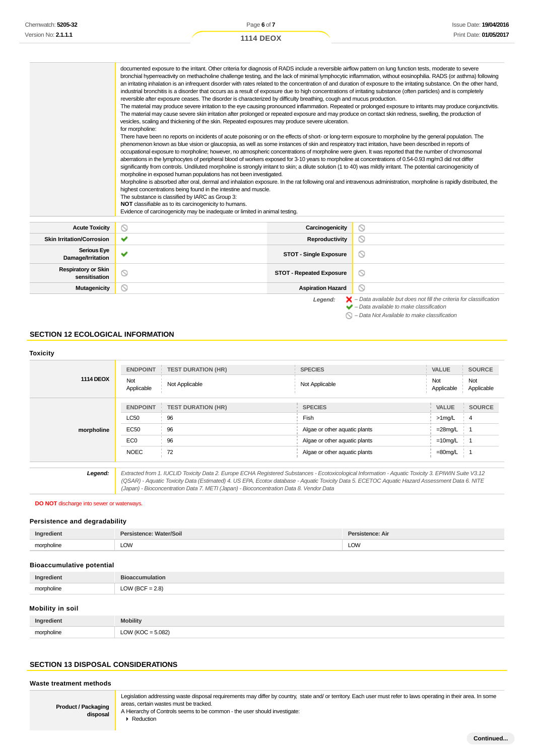| Chemwatch: 5205-32         | Page 6 of 7      | Issue Date: <b>19/04/2016</b> |
|----------------------------|------------------|-------------------------------|
| Version No: <b>2.1.1.1</b> | <b>1114 DEOX</b> | Print Date: 01/05/2017        |
|                            |                  |                               |

|                                  | documented exposure to the irritant. Other criteria for diagnosis of RADS include a reversible airflow pattern on lung function tests, moderate to severe<br>industrial bronchitis is a disorder that occurs as a result of exposure due to high concentrations of irritating substance (often particles) and is completely<br>reversible after exposure ceases. The disorder is characterized by difficulty breathing, cough and mucus production.<br>The material may cause severe skin irritation after prolonged or repeated exposure and may produce on contact skin redness, swelling, the production of<br>vesicles, scaling and thickening of the skin. Repeated exposures may produce severe ulceration.<br>for morpholine:<br>There have been no reports on incidents of acute poisoning or on the effects of short- or long-term exposure to morpholine by the general population. The<br>phenomenon known as blue vision or glaucopsia, as well as some instances of skin and respiratory tract irritation, have been described in reports of<br>occupational exposure to morpholine; however, no atmospheric concentrations of morpholine were given. It was reported that the number of chromosomal<br>aberrations in the lymphocytes of peripheral blood of workers exposed for 3-10 years to morpholine at concentrations of 0.54-0.93 mg/m3 did not differ<br>significantly from controls. Undiluted morpholine is strongly irritant to skin; a dilute solution (1 to 40) was mildly irritant. The potential carcinogenicity of<br>morpholine in exposed human populations has not been investigated.<br>highest concentrations being found in the intestine and muscle.<br>The substance is classified by IARC as Group 3:<br>NOT classifiable as to its carcinogenicity to humans.<br>Evidence of carcinogenicity may be inadequate or limited in animal testing. |                 | bronchial hyperreactivity on methacholine challenge testing, and the lack of minimal lymphocytic inflammation, without eosinophilia. RADS (or asthma) following<br>an irritating inhalation is an infrequent disorder with rates related to the concentration of and duration of exposure to the irritating substance. On the other hand,<br>The material may produce severe irritation to the eye causing pronounced inflammation. Repeated or prolonged exposure to irritants may produce conjunctivitis.<br>Morpholine is absorbed after oral, dermal and inhalation exposure. In the rat following oral and intravenous administration, morpholine is rapidly distributed, the |  |  |
|----------------------------------|--------------------------------------------------------------------------------------------------------------------------------------------------------------------------------------------------------------------------------------------------------------------------------------------------------------------------------------------------------------------------------------------------------------------------------------------------------------------------------------------------------------------------------------------------------------------------------------------------------------------------------------------------------------------------------------------------------------------------------------------------------------------------------------------------------------------------------------------------------------------------------------------------------------------------------------------------------------------------------------------------------------------------------------------------------------------------------------------------------------------------------------------------------------------------------------------------------------------------------------------------------------------------------------------------------------------------------------------------------------------------------------------------------------------------------------------------------------------------------------------------------------------------------------------------------------------------------------------------------------------------------------------------------------------------------------------------------------------------------------------------------------------------------------------------------------------------------------------------------------------------------------|-----------------|------------------------------------------------------------------------------------------------------------------------------------------------------------------------------------------------------------------------------------------------------------------------------------------------------------------------------------------------------------------------------------------------------------------------------------------------------------------------------------------------------------------------------------------------------------------------------------------------------------------------------------------------------------------------------------|--|--|
|                                  |                                                                                                                                                                                                                                                                                                                                                                                                                                                                                                                                                                                                                                                                                                                                                                                                                                                                                                                                                                                                                                                                                                                                                                                                                                                                                                                                                                                                                                                                                                                                                                                                                                                                                                                                                                                                                                                                                      |                 |                                                                                                                                                                                                                                                                                                                                                                                                                                                                                                                                                                                                                                                                                    |  |  |
| <b>Acute Toxicity</b>            | ⊚                                                                                                                                                                                                                                                                                                                                                                                                                                                                                                                                                                                                                                                                                                                                                                                                                                                                                                                                                                                                                                                                                                                                                                                                                                                                                                                                                                                                                                                                                                                                                                                                                                                                                                                                                                                                                                                                                    | Carcinogenicity | $\circ$                                                                                                                                                                                                                                                                                                                                                                                                                                                                                                                                                                                                                                                                            |  |  |
| <b>Skin Irritation/Corrosion</b> | $\checkmark$                                                                                                                                                                                                                                                                                                                                                                                                                                                                                                                                                                                                                                                                                                                                                                                                                                                                                                                                                                                                                                                                                                                                                                                                                                                                                                                                                                                                                                                                                                                                                                                                                                                                                                                                                                                                                                                                         | Reproductivity  | $\circ$                                                                                                                                                                                                                                                                                                                                                                                                                                                                                                                                                                                                                                                                            |  |  |
|                                  |                                                                                                                                                                                                                                                                                                                                                                                                                                                                                                                                                                                                                                                                                                                                                                                                                                                                                                                                                                                                                                                                                                                                                                                                                                                                                                                                                                                                                                                                                                                                                                                                                                                                                                                                                                                                                                                                                      |                 |                                                                                                                                                                                                                                                                                                                                                                                                                                                                                                                                                                                                                                                                                    |  |  |

| <b>Skin Irritation/Corrosion</b>            | $\checkmark$ | Reproductivity                  |                                                                                                                                                           |
|---------------------------------------------|--------------|---------------------------------|-----------------------------------------------------------------------------------------------------------------------------------------------------------|
| Serious Eye<br>Damage/Irritation            | $\checkmark$ | <b>STOT - Single Exposure</b>   | $\circ$                                                                                                                                                   |
| <b>Respiratory or Skin</b><br>sensitisation |              | <b>STOT - Repeated Exposure</b> | $\circ$                                                                                                                                                   |
| <b>Mutagenicity</b>                         |              | <b>Aspiration Hazard</b>        | $\circ$                                                                                                                                                   |
|                                             |              | Legend:                         | $\blacktriangleright$ - Data available but does not fill the criteria for classification<br>$\blacktriangleright$ - Data available to make classification |

 $\bigcirc$  – Data Not Available to make classification

## **SECTION 12 ECOLOGICAL INFORMATION**

| <b>Toxicity</b>  |                   |                                                                                                                                                                                                                                                                                                       |                               |                   |                   |
|------------------|-------------------|-------------------------------------------------------------------------------------------------------------------------------------------------------------------------------------------------------------------------------------------------------------------------------------------------------|-------------------------------|-------------------|-------------------|
|                  | <b>ENDPOINT</b>   | <b>TEST DURATION (HR)</b>                                                                                                                                                                                                                                                                             | <b>SPECIES</b>                | <b>VALUE</b>      | <b>SOURCE</b>     |
| <b>1114 DEOX</b> | Not<br>Applicable | Not Applicable                                                                                                                                                                                                                                                                                        | Not Applicable                | Not<br>Applicable | Not<br>Applicable |
|                  | <b>ENDPOINT</b>   | <b>TEST DURATION (HR)</b>                                                                                                                                                                                                                                                                             | <b>SPECIES</b>                | <b>VALUE</b>      | <b>SOURCE</b>     |
|                  | <b>LC50</b>       | 96                                                                                                                                                                                                                                                                                                    | Fish                          | $>1$ mg/L         | 4                 |
| morpholine       | <b>EC50</b>       | 96                                                                                                                                                                                                                                                                                                    | Algae or other aquatic plants | $=28$ mg/L        |                   |
|                  | EC <sub>0</sub>   | 96                                                                                                                                                                                                                                                                                                    | Algae or other aquatic plants | $=10$ mg/L        |                   |
|                  | <b>NOEC</b>       | 72                                                                                                                                                                                                                                                                                                    | Algae or other aquatic plants | $=80$ mg/L        |                   |
|                  |                   |                                                                                                                                                                                                                                                                                                       |                               |                   |                   |
| Legend:          |                   | Extracted from 1. IUCLID Toxicity Data 2. Europe ECHA Registered Substances - Ecotoxicological Information - Aquatic Toxicity 3. EPIWIN Suite V3.12<br>(OSAR) - Aquatic Toxicity Data (Estimated) 4, US EPA, Ecotox database - Aquatic Toxicity Data 5, ECETOC Aquatic Hazard Assessment Data 6, NITE |                               |                   |                   |

(QSAR) - Aquatic Toxicity Data (Estimated) 4. US EPA, Ecotox database - Aquatic Toxicity Data 5. ECETOC Aquatic Hazard Assessment Data 6. NITE (Japan) - Bioconcentration Data 7. METI (Japan) - Bioconcentration Data 8. Vendor Data

#### **DO NOT** discharge into sewer or waterways.

## **Persistence and degradability**

|     | Δır<br>--<br>the contract of the contract of |
|-----|----------------------------------------------|
| LOW | LOW                                          |

## **Bioaccumulative potential**

| Ingredient | <b>Bioaccumulation</b> |
|------------|------------------------|
| morpholine | $LOW (BCF = 2.8)$      |

## **Mobility in soil**

| Ingredient | <b>Mobility</b>           |
|------------|---------------------------|
| morpholine | 5.082<br>$\bigcap M$<br>. |

### **SECTION 13 DISPOSAL CONSIDERATIONS**

#### **Waste treatment methods**

**Product / Packaging disposal** Legislation addressing waste disposal requirements may differ by country, state and/ or territory. Each user must refer to laws operating in their area. In some areas, certain wastes must be tracked.

A Hierarchy of Controls seems to be common - the user should investigate: **Reduction**